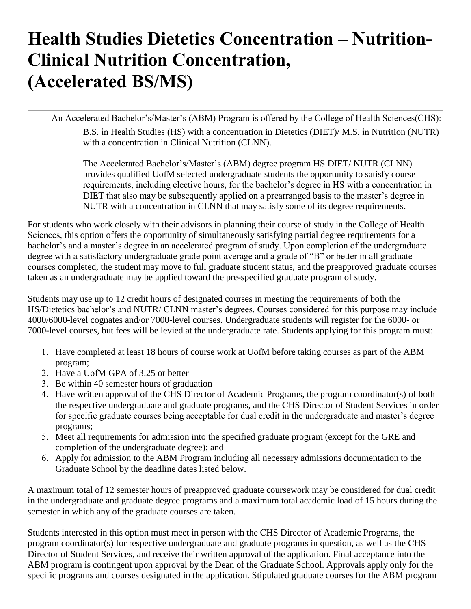## **Health Studies Dietetics Concentration – Nutrition-Clinical Nutrition Concentration, (Accelerated BS/MS)**

An Accelerated Bachelor's/Master's (ABM) Program is offered by the College of Health Sciences(CHS):

B.S. in Health Studies (HS) with a concentration in Dietetics (DIET)/ M.S. in Nutrition (NUTR) with a concentration in Clinical Nutrition (CLNN).

The Accelerated Bachelor's/Master's (ABM) degree program HS DIET/ NUTR (CLNN) provides qualified UofM selected undergraduate students the opportunity to satisfy course requirements, including elective hours, for the bachelor's degree in HS with a concentration in DIET that also may be subsequently applied on a prearranged basis to the master's degree in NUTR with a concentration in CLNN that may satisfy some of its degree requirements.

For students who work closely with their advisors in planning their course of study in the College of Health Sciences, this option offers the opportunity of simultaneously satisfying partial degree requirements for a bachelor's and a master's degree in an accelerated program of study. Upon completion of the undergraduate degree with a satisfactory undergraduate grade point average and a grade of "B" or better in all graduate courses completed, the student may move to full graduate student status, and the preapproved graduate courses taken as an undergraduate may be applied toward the pre-specified graduate program of study.

Students may use up to 12 credit hours of designated courses in meeting the requirements of both the HS/Dietetics bachelor's and NUTR/ CLNN master's degrees. Courses considered for this purpose may include 4000/6000-level cognates and/or 7000-level courses. Undergraduate students will register for the 6000- or 7000-level courses, but fees will be levied at the undergraduate rate. Students applying for this program must:

- 1. Have completed at least 18 hours of course work at UofM before taking courses as part of the ABM program;
- 2. Have a UofM GPA of 3.25 or better
- 3. Be within 40 semester hours of graduation
- 4. Have written approval of the CHS Director of Academic Programs, the program coordinator(s) of both the respective undergraduate and graduate programs, and the CHS Director of Student Services in order for specific graduate courses being acceptable for dual credit in the undergraduate and master's degree programs;
- 5. Meet all requirements for admission into the specified graduate program (except for the GRE and completion of the undergraduate degree); and
- 6. Apply for admission to the ABM Program including all necessary admissions documentation to the Graduate School by the deadline dates listed below.

A maximum total of 12 semester hours of preapproved graduate coursework may be considered for dual credit in the undergraduate and graduate degree programs and a maximum total academic load of 15 hours during the semester in which any of the graduate courses are taken.

Students interested in this option must meet in person with the CHS Director of Academic Programs, the program coordinator(s) for respective undergraduate and graduate programs in question, as well as the CHS Director of Student Services, and receive their written approval of the application. Final acceptance into the ABM program is contingent upon approval by the Dean of the Graduate School. Approvals apply only for the specific programs and courses designated in the application. Stipulated graduate courses for the ABM program